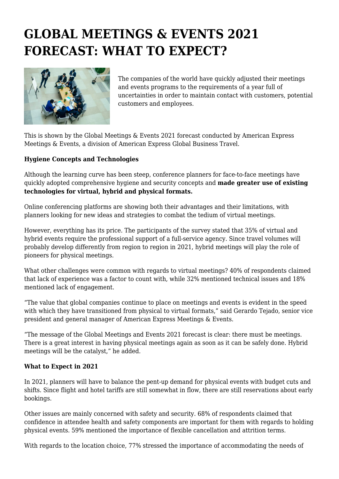# **GLOBAL MEETINGS & EVENTS 2021 FORECAST: WHAT TO EXPECT?**



The companies of the world have quickly adjusted their meetings and events programs to the requirements of a year full of uncertainties in order to maintain contact with customers, potential customers and employees.

This is shown by the Global Meetings & Events 2021 forecast conducted by American Express Meetings & Events, a division of American Express Global Business Travel.

## **Hygiene Concepts and Technologies**

Although the learning curve has been steep, conference planners for face-to-face meetings have quickly adopted comprehensive hygiene and security concepts and **made greater use of existing technologies for virtual, hybrid and physical formats.**

Online conferencing platforms are showing both their advantages and their limitations, with planners looking for new ideas and strategies to combat the tedium of virtual meetings.

However, everything has its price. The participants of the survey stated that 35% of virtual and hybrid events require the professional support of a full-service agency. Since travel volumes will probably develop differently from region to region in 2021, hybrid meetings will play the role of pioneers for physical meetings.

What other challenges were common with regards to virtual meetings? 40% of respondents claimed that lack of experience was a factor to count with, while 32% mentioned technical issues and 18% mentioned lack of engagement.

"The value that global companies continue to place on meetings and events is evident in the speed with which they have transitioned from physical to virtual formats," said Gerardo Tejado, senior vice president and general manager of American Express Meetings & Events.

"The message of the Global Meetings and Events 2021 forecast is clear: there must be meetings. There is a great interest in having physical meetings again as soon as it can be safely done. Hybrid meetings will be the catalyst," he added.

## **What to Expect in 2021**

In 2021, planners will have to balance the pent-up demand for physical events with budget cuts and shifts. Since flight and hotel tariffs are still somewhat in flow, there are still reservations about early bookings.

Other issues are mainly concerned with safety and security. 68% of respondents claimed that confidence in attendee health and safety components are important for them with regards to holding physical events. 59% mentioned the importance of flexible cancellation and attrition terms.

With regards to the location choice, 77% stressed the importance of accommodating the needs of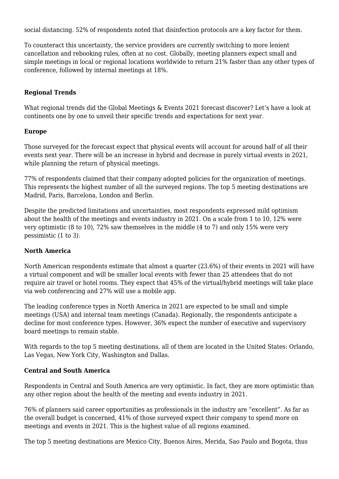social distancing. 52% of respondents noted that disinfection protocols are a key factor for them.

To counteract this uncertainty, the service providers are currently switching to more lenient cancellation and rebooking rules, often at no cost. Globally, meeting planners expect small and simple meetings in local or regional locations worldwide to return 21% faster than any other types of conference, followed by internal meetings at 18%.

### **Regional Trends**

What regional trends did the Global Meetings & Events 2021 forecast discover? Let's have a look at continents one by one to unveil their specific trends and expectations for next year.

#### **Europe**

Those surveyed for the forecast expect that physical events will account for around half of all their events next year. There will be an increase in hybrid and decrease in purely virtual events in 2021, while planning the return of physical meetings.

77% of respondents claimed that their company adopted policies for the organization of meetings. This represents the highest number of all the surveyed regions. The top 5 meeting destinations are Madrid, Paris, Barcelona, London and Berlin.

Despite the predicted limitations and uncertainties, most respondents expressed mild optimism about the health of the meetings and events industry in 2021. On a scale from 1 to 10, 12% were very optimistic (8 to 10), 72% saw themselves in the middle (4 to 7) and only 15% were very pessimistic (1 to 3).

#### **North America**

North American respondents estimate that almost a quarter (23.6%) of their events in 2021 will have a virtual component and will be smaller local events with fewer than 25 attendees that do not require air travel or hotel rooms. They expect that 45% of the virtual/hybrid meetings will take place via web conferencing and 27% will use a mobile app.

The leading conference types in North America in 2021 are expected to be small and simple meetings (USA) and internal team meetings (Canada). Regionally, the respondents anticipate a decline for most conference types. However, 36% expect the number of executive and supervisory board meetings to remain stable.

With regards to the top 5 meeting destinations, all of them are located in the United States: Orlando, Las Vegas, New York City, Washington and Dallas.

## **Central and South America**

Respondents in Central and South America are very optimistic. In fact, they are more optimistic than any other region about the health of the meeting and events industry in 2021.

76% of planners said career opportunities as professionals in the industry are "excellent". As far as the overall budget is concerned, 41% of those surveyed expect their company to spend more on meetings and events in 2021. This is the highest value of all regions examined.

The top 5 meeting destinations are Mexico City, Buenos Aires, Merida, Sao Paulo and Bogota, thus